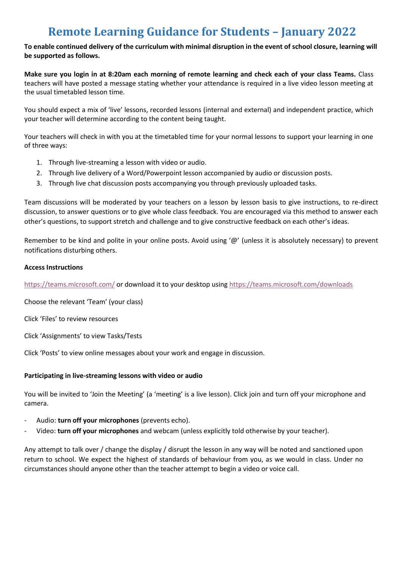# **Remote Learning Guidance for Students – January 2022**

**To enable continued delivery of the curriculum with minimal disruption in the event of school closure, learning will be supported as follows.**

**Make sure you login in at 8:20am each morning of remote learning and check each of your class Teams.** Class teachers will have posted a message stating whether your attendance is required in a live video lesson meeting at the usual timetabled lesson time.

You should expect a mix of 'live' lessons, recorded lessons (internal and external) and independent practice, which your teacher will determine according to the content being taught.

Your teachers will check in with you at the timetabled time for your normal lessons to support your learning in one of three ways:

- 1. Through live-streaming a lesson with video or audio.
- 2. Through live delivery of a Word/Powerpoint lesson accompanied by audio or discussion posts.
- 3. Through live chat discussion posts accompanying you through previously uploaded tasks.

Team discussions will be moderated by your teachers on a lesson by lesson basis to give instructions, to re-direct discussion, to answer questions or to give whole class feedback. You are encouraged via this method to answer each other's questions, to support stretch and challenge and to give constructive feedback on each other's ideas.

Remember to be kind and polite in your online posts. Avoid using '@' (unless it is absolutely necessary) to prevent notifications disturbing others.

#### **Access Instructions**

<https://teams.microsoft.com/> or download it to your desktop using <https://teams.microsoft.com/downloads>

Choose the relevant 'Team' (your class)

Click 'Files' to review resources

Click 'Assignments' to view Tasks/Tests

Click 'Posts' to view online messages about your work and engage in discussion.

#### **Participating in live-streaming lessons with video or audio**

You will be invited to 'Join the Meeting' (a 'meeting' is a live lesson). Click join and turn off your microphone and camera.

- Audio: **turn off your microphones** (prevents echo).
- Video: **turn off your microphones** and webcam (unless explicitly told otherwise by your teacher).

Any attempt to talk over / change the display / disrupt the lesson in any way will be noted and sanctioned upon return to school. We expect the highest of standards of behaviour from you, as we would in class. Under no circumstances should anyone other than the teacher attempt to begin a video or voice call.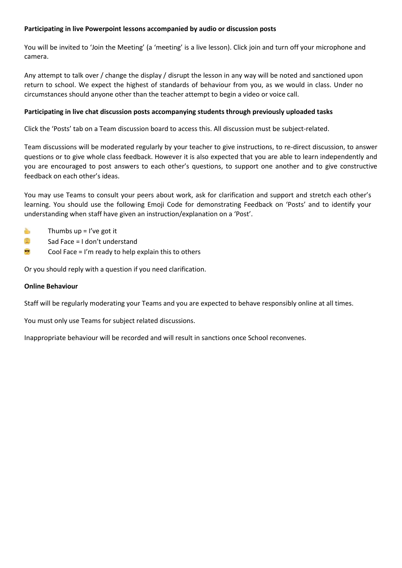## **Participating in live Powerpoint lessons accompanied by audio or discussion posts**

You will be invited to 'Join the Meeting' (a 'meeting' is a live lesson). Click join and turn off your microphone and camera.

Any attempt to talk over / change the display / disrupt the lesson in any way will be noted and sanctioned upon return to school. We expect the highest of standards of behaviour from you, as we would in class. Under no circumstances should anyone other than the teacher attempt to begin a video or voice call.

## **Participating in live chat discussion posts accompanying students through previously uploaded tasks**

Click the 'Posts' tab on a Team discussion board to access this. All discussion must be subject-related.

Team discussions will be moderated regularly by your teacher to give instructions, to re-direct discussion, to answer questions or to give whole class feedback. However it is also expected that you are able to learn independently and you are encouraged to post answers to each other's questions, to support one another and to give constructive feedback on each other's ideas.

You may use Teams to consult your peers about work, ask for clarification and support and stretch each other's learning. You should use the following Emoji Code for demonstrating Feedback on 'Posts' and to identify your understanding when staff have given an instruction/explanation on a 'Post'.

- è, Thumbs  $up = l've got it$
- 佳 Sad Face = I don't understand
- ÷ Cool Face = I'm ready to help explain this to others

Or you should reply with a question if you need clarification.

#### **Online Behaviour**

Staff will be regularly moderating your Teams and you are expected to behave responsibly online at all times.

You must only use Teams for subject related discussions.

Inappropriate behaviour will be recorded and will result in sanctions once School reconvenes.